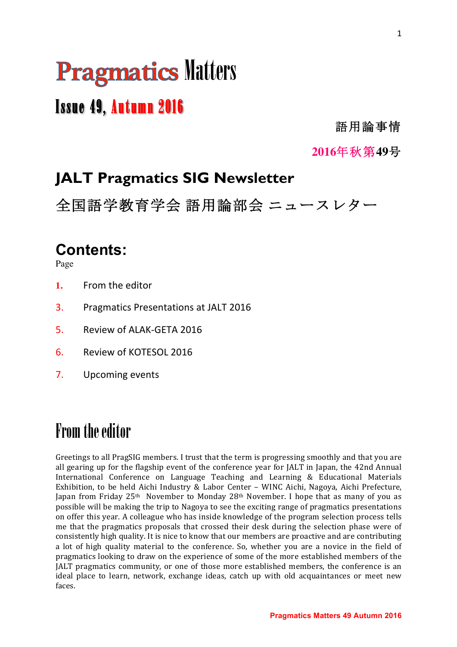# **Pragmatics Matters**

# Issue 49, Autumn 2016

語用論事情

**2016**年秋第**49**号

## **JALT Pragmatics SIG Newsletter**

全国語学教育学会 語用論部会 ニュースレター

### **Contents:**

Page

- **1.** From the editor
- 3. Pragmatics Presentations at JALT 2016
- 5. Review of ALAK-GETA 2016
- 6. Review of KOTESOL 2016
- 7. Upcoming events

# From the editor

Greetings to all PragSIG members. I trust that the term is progressing smoothly and that you are all gearing up for the flagship event of the conference year for IALT in Iapan, the 42nd Annual International Conference on Language Teaching and Learning & Educational Materials Exhibition, to be held Aichi Industry & Labor Center - WINC Aichi, Nagoya, Aichi Prefecture, Japan from Friday 25<sup>th</sup> November to Monday 28<sup>th</sup> November. I hope that as many of you as possible will be making the trip to Nagoya to see the exciting range of pragmatics presentations on offer this year. A colleague who has inside knowledge of the program selection process tells me that the pragmatics proposals that crossed their desk during the selection phase were of consistently high quality. It is nice to know that our members are proactive and are contributing a lot of high quality material to the conference. So, whether you are a novice in the field of pragmatics looking to draw on the experience of some of the more established members of the JALT pragmatics community, or one of those more established members, the conference is an ideal place to learn, network, exchange ideas, catch up with old acquaintances or meet new faces.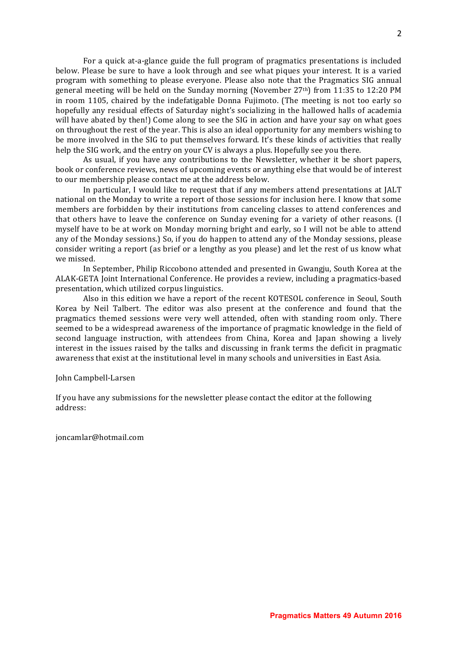For a quick at-a-glance guide the full program of pragmatics presentations is included below. Please be sure to have a look through and see what piques your interest. It is a varied program with something to please everyone. Please also note that the Pragmatics SIG annual general meeting will be held on the Sunday morning (November  $27<sup>th</sup>$ ) from 11:35 to 12:20 PM in room 1105, chaired by the indefatigable Donna Fujimoto. (The meeting is not too early so hopefully any residual effects of Saturday night's socializing in the hallowed halls of academia will have abated by then!) Come along to see the SIG in action and have your say on what goes on throughout the rest of the year. This is also an ideal opportunity for any members wishing to be more involved in the SIG to put themselves forward. It's these kinds of activities that really help the SIG work, and the entry on your CV is always a plus. Hopefully see you there.

As usual, if you have any contributions to the Newsletter, whether it be short papers, book or conference reviews, news of upcoming events or anything else that would be of interest to our membership please contact me at the address below.

In particular, I would like to request that if any members attend presentations at JALT national on the Monday to write a report of those sessions for inclusion here. I know that some members are forbidden by their institutions from canceling classes to attend conferences and that others have to leave the conference on Sunday evening for a variety of other reasons. (I myself have to be at work on Monday morning bright and early, so I will not be able to attend any of the Monday sessions.) So, if you do happen to attend any of the Monday sessions, please consider writing a report (as brief or a lengthy as you please) and let the rest of us know what we missed.

In September, Philip Riccobono attended and presented in Gwangju, South Korea at the ALAK-GETA Joint International Conference. He provides a review, including a pragmatics-based presentation, which utilized corpus linguistics.

Also in this edition we have a report of the recent KOTESOL conference in Seoul, South Korea by Neil Talbert. The editor was also present at the conference and found that the pragmatics themed sessions were very well attended, often with standing room only. There seemed to be a widespread awareness of the importance of pragmatic knowledge in the field of second language instruction, with attendees from China, Korea and Japan showing a lively interest in the issues raised by the talks and discussing in frank terms the deficit in pragmatic awareness that exist at the institutional level in many schools and universities in East Asia.

#### John Campbell-Larsen

If you have any submissions for the newsletter please contact the editor at the following address:

joncamlar@hotmail.com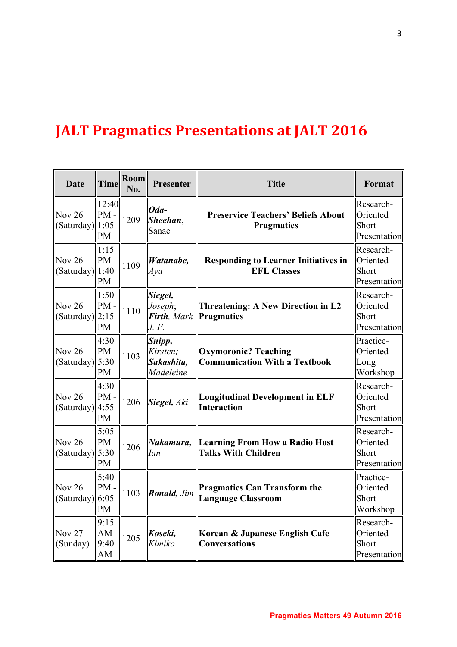# **JALT Pragmatics Presentations at JALT 2016**

| <b>Date</b>                    | <b>Time</b>                 | Room<br>No. | Presenter                                     | <b>Title</b>                                                        | Format                                         |
|--------------------------------|-----------------------------|-------------|-----------------------------------------------|---------------------------------------------------------------------|------------------------------------------------|
| Nov $26$<br>$(Saturday)$  1:05 | 12:40<br>$PM -$<br>PM       | 1209        | Oda-<br>Sheehan,<br>Sanae                     | <b>Preservice Teachers' Beliefs About</b><br><b>Pragmatics</b>      | Research-<br>Oriented<br>Short<br>Presentation |
| Nov 26<br>$(Saturday)$  1:40   | 1:15<br>$PM -$<br>PM        | 1109        | Watanabe,<br>Aya                              | <b>Responding to Learner Initiatives in</b><br><b>EFL Classes</b>   | Research-<br>Oriented<br>Short<br>Presentation |
| Nov 26<br>$(Saturday)$  2:15   | 1:50<br>$PM -$<br>PM        | 1110        | Siegel,<br>Joseph;<br>Firth, Mark<br>J.F.     | <b>Threatening: A New Direction in L2</b><br>Pragmatics             | Research-<br>Oriented<br>Short<br>Presentation |
| Nov 26<br>$(Saturday)$ 5:30    | 4:30<br>$PM -$<br><b>PM</b> | 1103        | Snipp,<br>Kirsten;<br>Sakashita,<br>Madeleine | <b>Oxymoronic? Teaching</b><br><b>Communication With a Textbook</b> | Practice-<br>Oriented<br>Long<br>Workshop      |
| Nov $26$<br>(Saturday) 4:55    | 4:30<br>$PM -$<br>PM        | 1206        | Siegel, Aki                                   | <b>Longitudinal Development in ELF</b><br><b>Interaction</b>        | Research-<br>Oriented<br>Short<br>Presentation |
| Nov 26<br>$(Saturday)$ 5:30    | 5:05<br>$PM -$<br>PM        | 1206        | Nakamura,<br>Ian                              | Learning From How a Radio Host<br><b>Talks With Children</b>        | Research-<br>Oriented<br>Short<br>Presentation |
| Nov 26<br>(Saturday) 6:05      | 5:40<br>$PM -$<br><b>PM</b> | 1103        | $\left $ <b>Ronald</b> , Jim                  | <b>Pragmatics Can Transform the</b><br><b>Language Classroom</b>    | Practice-<br>Oriented<br>Short<br>Workshop     |
| <b>Nov 27</b><br>(Sunday)      | 9:15<br>AM<br>9:40<br>AM    | 1205        | Koseki,<br>Kimiko                             | Korean & Japanese English Cafe<br><b>Conversations</b>              | Research-<br>Oriented<br>Short<br>Presentation |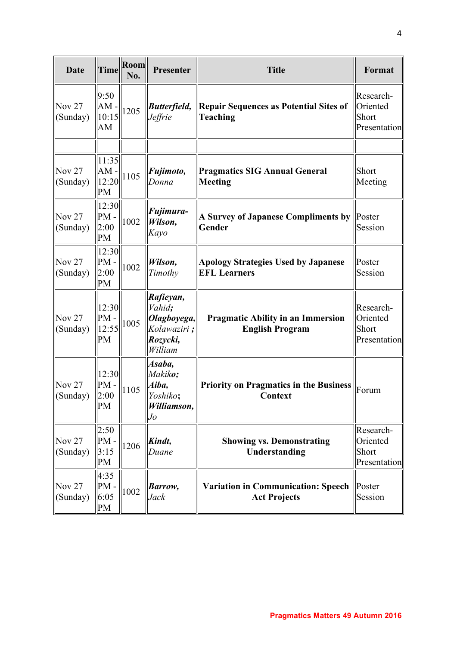| <b>Date</b>               | Time                                 | Room<br>No. | Presenter                                                                | <b>Title</b>                                                       | Format                                         |
|---------------------------|--------------------------------------|-------------|--------------------------------------------------------------------------|--------------------------------------------------------------------|------------------------------------------------|
| <b>Nov 27</b><br>(Sunday) | 9:50<br>$AM \cdot$<br>10:15<br>AM    | 1205        | <b>Butterfield</b> ,<br>Jeffrie                                          | <b>Repair Sequences as Potential Sites of</b><br>Teaching          | Research-<br>Oriented<br>Short<br>Presentation |
|                           | 11:35                                |             |                                                                          |                                                                    |                                                |
| <b>Nov 27</b><br>(Sunday) | $AM$ .<br>12:20<br>PM                | 1105        | Fujimoto,<br>Donna                                                       | <b>Pragmatics SIG Annual General</b><br>Meeting                    | Short<br>Meeting                               |
| <b>Nov 27</b><br>(Sunday) | 12:30<br>$PM -$<br>2:00<br>PM        | 1002        | Fujimura-<br>Wilson,<br>Kayo                                             | <b>A Survey of Japanese Compliments by</b><br>Gender               | Poster<br>Session                              |
| <b>Nov 27</b><br>(Sunday) | 12:30<br>$PM -$<br>2:00<br>PM        | 1002        | Wilson,<br>Timothy                                                       | <b>Apology Strategies Used by Japanese</b><br><b>EFL Learners</b>  | Poster<br>Session                              |
| Nov 27<br>(Sunday)        | 12:30<br>$PM -$<br>12:55<br>PM       | 1005        | Rafieyan,<br>Vahid;<br>Olagboyega,<br>Kolawaziri;<br>Rozycki,<br>William | <b>Pragmatic Ability in an Immersion</b><br><b>English Program</b> | Research-<br>Oriented<br>Short<br>Presentation |
| <b>Nov 27</b><br>(Sunday) | 12:30<br>$PM -$<br>2:00<br><b>PM</b> | 1105        | Asaba,<br>Makiko;<br>Aiba,<br>Yoshiko;<br>Williamson,<br>$_{Jo}$         | <b>Priority on Pragmatics in the Business</b><br><b>Context</b>    | Forum                                          |
| <b>Nov 27</b><br>(Sunday) | 2:50<br>$PM -$<br>3:15<br>PM         | 1206        | Kindt,<br>Duane                                                          | <b>Showing vs. Demonstrating</b><br>Understanding                  | Research-<br>Oriented<br>Short<br>Presentation |
| Nov $27$<br>(Sunday)      | 4:35<br>$PM -$<br>6:05<br>PM         | 1002        | Barrow,<br>Jack                                                          | <b>Variation in Communication: Speech</b><br><b>Act Projects</b>   | Poster<br>Session                              |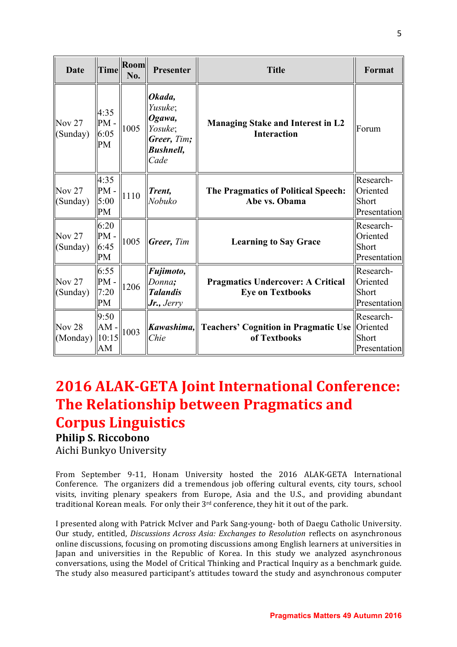| <b>Date</b>                         | <b>Time</b>                  | Room<br>No. | Presenter                                                                         | <b>Title</b>                                                            | Format                                         |
|-------------------------------------|------------------------------|-------------|-----------------------------------------------------------------------------------|-------------------------------------------------------------------------|------------------------------------------------|
| Nov 27<br>(Sunday)                  | 4:35<br>PM-<br>6:05<br>PM    | 1005        | Okada,<br>Yusuke;<br>Ogawa,<br>Yosuke;<br>Greer, Tim;<br><b>Bushnell,</b><br>Cade | <b>Managing Stake and Interest in L2</b><br><b>Interaction</b>          | Forum                                          |
| Nov $27$<br>(Sunday)                | 4:35<br>PM-<br>5:00<br>PM    | 1110        | Trent,<br>Nobuko                                                                  | <b>The Pragmatics of Political Speech:</b><br>Abe vs. Obama             | Research-<br>Oriented<br>Short<br>Presentation |
| Nov 27<br>$\left($ Sunday $\right)$ | 6:20<br>$PM -$<br>6:45<br>PM | 1005        | Greer, Tim                                                                        | <b>Learning to Say Grace</b>                                            | Research-<br>Oriented<br>Short<br>Presentation |
| Nov 27<br>(Sunday)                  | 6:55<br>$PM -$<br>7:20<br>PM | 1206        | Fujimoto,<br>Donna;<br><b>Talandis</b><br>$Jr$ ., Jerry                           | <b>Pragmatics Undercover: A Critical</b><br><b>Eye on Textbooks</b>     | Research-<br>Oriented<br>Short<br>Presentation |
| Nov 28<br>Monday)                   | 9:50<br>AM<br>10:15<br>AM    | 1003        | Chie                                                                              | <i>Kawashima</i> , Teachers' Cognition in Pragmatic Use<br>of Textbooks | Research-<br>Oriented<br>Short<br>Presentation |

# **2016 ALAK-GETA Joint International Conference: The Relationship between Pragmatics and Corpus Linguistics**

#### **Philip S. Riccobono**

Aichi Bunkyo University

From September 9-11, Honam University hosted the 2016 ALAK-GETA International Conference. The organizers did a tremendous job offering cultural events, city tours, school visits, inviting plenary speakers from Europe, Asia and the U.S., and providing abundant traditional Korean meals. For only their  $3<sup>rd</sup>$  conference, they hit it out of the park.

I presented along with Patrick McIver and Park Sang-young- both of Daegu Catholic University. Our study, entitled, *Discussions Across Asia: Exchanges to Resolution* reflects on asynchronous online discussions, focusing on promoting discussions among English learners at universities in Japan and universities in the Republic of Korea. In this study we analyzed asynchronous conversations, using the Model of Critical Thinking and Practical Inquiry as a benchmark guide. The study also measured participant's attitudes toward the study and asynchronous computer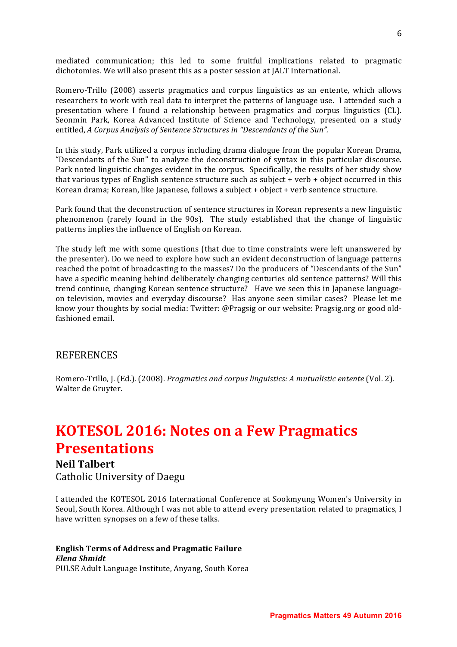mediated communication; this led to some fruitful implications related to pragmatic dichotomies. We will also present this as a poster session at JALT International.

Romero-Trillo (2008) asserts pragmatics and corpus linguistics as an entente, which allows researchers to work with real data to interpret the patterns of language use. I attended such a presentation where I found a relationship between pragmatics and corpus linguistics  $(CL)$ . Seonmin Park, Korea Advanced Institute of Science and Technology, presented on a study entitled, *A Corpus Analysis of Sentence Structures in "Descendants of the Sun".* 

In this study, Park utilized a corpus including drama dialogue from the popular Korean Drama, "Descendants of the Sun" to analyze the deconstruction of syntax in this particular discourse. Park noted linguistic changes evident in the corpus. Specifically, the results of her study show that various types of English sentence structure such as subject + verb + object occurred in this Korean drama; Korean, like Japanese, follows a subject + object + verb sentence structure.

Park found that the deconstruction of sentence structures in Korean represents a new linguistic phenomenon (rarely found in the  $90s$ ). The study established that the change of linguistic patterns implies the influence of English on Korean.

The study left me with some questions (that due to time constraints were left unanswered by the presenter). Do we need to explore how such an evident deconstruction of language patterns reached the point of broadcasting to the masses? Do the producers of "Descendants of the Sun" have a specific meaning behind deliberately changing centuries old sentence patterns? Will this trend continue, changing Korean sentence structure? Have we seen this in Japanese languageon television, movies and everyday discourse? Has anyone seen similar cases? Please let me know your thoughts by social media: Twitter: @Pragsig or our website: Pragsig.org or good oldfashioned email.

#### REFERENCES

Romero-Trillo, J. (Ed.). (2008). *Pragmatics and corpus linguistics: A mutualistic entente* (Vol. 2). Walter de Gruyter.

### **KOTESOL 2016: Notes on a Few Pragmatics Presentations**

#### **Neil Talbert**

Catholic University of Daegu

I attended the KOTESOL 2016 International Conference at Sookmyung Women's University in Seoul, South Korea. Although I was not able to attend every presentation related to pragmatics, I have written synopses on a few of these talks.

#### **English Terms of Address and Pragmatic Failure** *Elena Shmidt*

PULSE Adult Language Institute, Anyang, South Korea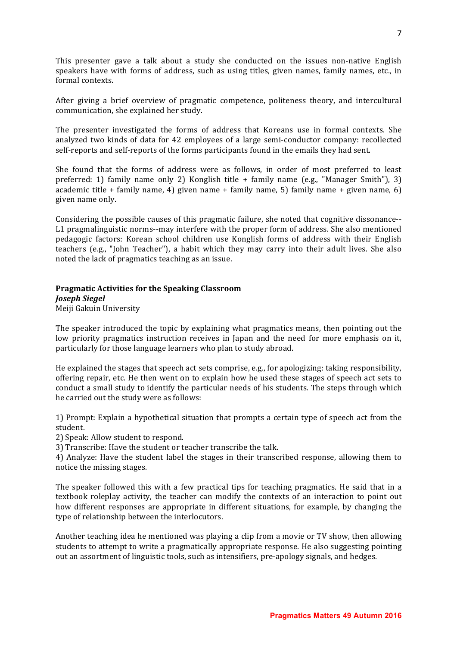This presenter gave a talk about a study she conducted on the issues non-native English speakers have with forms of address, such as using titles, given names, family names, etc., in formal contexts.

After giving a brief overview of pragmatic competence, politeness theory, and intercultural communication, she explained her study.

The presenter investigated the forms of address that Koreans use in formal contexts. She analyzed two kinds of data for 42 employees of a large semi-conductor company: recollected self-reports and self-reports of the forms participants found in the emails they had sent.

She found that the forms of address were as follows, in order of most preferred to least preferred: 1) family name only 2) Konglish title  $+$  family name (e.g., "Manager Smith"), 3) academic title + family name, 4) given name + family name, 5) family name + given name, 6) given name only.

Considering the possible causes of this pragmatic failure, she noted that cognitive dissonance--L1 pragmalinguistic norms--may interfere with the proper form of address. She also mentioned pedagogic factors: Korean school children use Konglish forms of address with their English teachers (e.g., "John Teacher"), a habit which they may carry into their adult lives. She also noted the lack of pragmatics teaching as an issue.

#### **Pragmatic Activities for the Speaking Classroom** *Joseph Siegel*

Meiji Gakuin University

The speaker introduced the topic by explaining what pragmatics means, then pointing out the low priority pragmatics instruction receives in Japan and the need for more emphasis on it, particularly for those language learners who plan to study abroad.

He explained the stages that speech act sets comprise, e.g., for apologizing: taking responsibility, offering repair, etc. He then went on to explain how he used these stages of speech act sets to conduct a small study to identify the particular needs of his students. The steps through which he carried out the study were as follows:

1) Prompt: Explain a hypothetical situation that prompts a certain type of speech act from the student.

2) Speak: Allow student to respond.

3) Transcribe: Have the student or teacher transcribe the talk.

4) Analyze: Have the student label the stages in their transcribed response, allowing them to notice the missing stages.

The speaker followed this with a few practical tips for teaching pragmatics. He said that in a textbook roleplay activity, the teacher can modify the contexts of an interaction to point out how different responses are appropriate in different situations, for example, by changing the type of relationship between the interlocutors.

Another teaching idea he mentioned was playing a clip from a movie or TV show, then allowing students to attempt to write a pragmatically appropriate response. He also suggesting pointing out an assortment of linguistic tools, such as intensifiers, pre-apology signals, and hedges.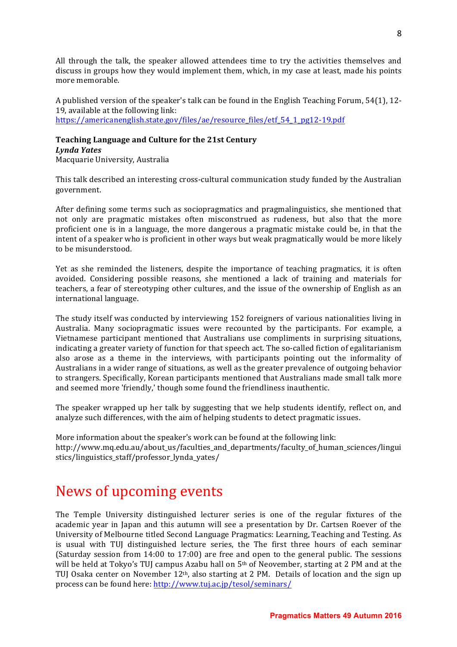All through the talk, the speaker allowed attendees time to try the activities themselves and discuss in groups how they would implement them, which, in my case at least, made his points more memorable.

A published version of the speaker's talk can be found in the English Teaching Forum,  $54(1)$ ,  $12$ -19, available at the following link: https://americanenglish.state.gov/files/ae/resource\_files/etf\_54\_1\_pg12-19.pdf

#### **Teaching Language and Culture for the 21st Century** *Lynda Yates*

Macquarie University, Australia

This talk described an interesting cross-cultural communication study funded by the Australian government.

After defining some terms such as sociopragmatics and pragmalinguistics, she mentioned that not only are pragmatic mistakes often misconstrued as rudeness, but also that the more proficient one is in a language, the more dangerous a pragmatic mistake could be, in that the intent of a speaker who is proficient in other ways but weak pragmatically would be more likely to be misunderstood.

Yet as she reminded the listeners, despite the importance of teaching pragmatics, it is often avoided. Considering possible reasons, she mentioned a lack of training and materials for teachers, a fear of stereotyping other cultures, and the issue of the ownership of English as an international language.

The study itself was conducted by interviewing 152 foreigners of various nationalities living in Australia. Many sociopragmatic issues were recounted by the participants. For example, a Vietnamese participant mentioned that Australians use compliments in surprising situations, indicating a greater variety of function for that speech act. The so-called fiction of egalitarianism also arose as a theme in the interviews, with participants pointing out the informality of Australians in a wider range of situations, as well as the greater prevalence of outgoing behavior to strangers. Specifically, Korean participants mentioned that Australians made small talk more and seemed more 'friendly,' though some found the friendliness inauthentic.

The speaker wrapped up her talk by suggesting that we help students identify, reflect on, and analyze such differences, with the aim of helping students to detect pragmatic issues.

More information about the speaker's work can be found at the following link: http://www.mq.edu.au/about\_us/faculties\_and\_departments/faculty\_of\_human\_sciences/lingui stics/linguistics\_staff/professor\_lynda\_yates/

### News of upcoming events

The Temple University distinguished lecturer series is one of the regular fixtures of the academic year in Japan and this autumn will see a presentation by Dr. Cartsen Roever of the University of Melbourne titled Second Language Pragmatics: Learning, Teaching and Testing. As is usual with TUJ distinguished lecture series, the The first three hours of each seminar (Saturday session from  $14:00$  to  $17:00$ ) are free and open to the general public. The sessions will be held at Tokyo's TUJ campus Azabu hall on  $5<sup>th</sup>$  of Neovember, starting at 2 PM and at the TUJ Osaka center on November  $12<sup>th</sup>$ , also starting at 2 PM. Details of location and the sign up process can be found here: http://www.tuj.ac.jp/tesol/seminars/